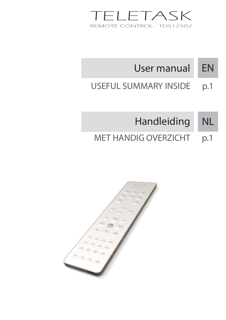

#### EN User manual

USEFUL SUMMARY INSIDE p.1

# Handleiding NL

MET HANDIG OVERZICHT p.1

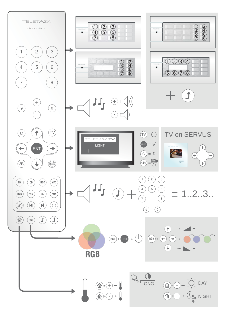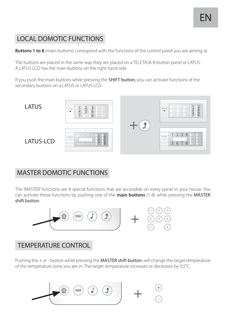## LOCAL DOMOTIC FUNCTIONS

**Buttons 1 to 8** (main buttons) correspond with the functions of the control panel you are aiming at.

The buttons are placed in the same way they are placed on a TELETASK 8-button panel or LATUS. A LATUS LCD has the main buttons on the right hand side.

If you push the main buttons while pressing the **SHIFT button**, you can activate functions of the secondary buttons on a LATUS or LATUS LCD.



## MASTER DOMOTIC FUNCTIONS

The 'MASTER' functions are 8 special functions that are accessible on every panel in your house. You can activate these functions by pushing one of the **main buttons** (1-8) while pressing the MASTER shift button.



## TEMPERATURE CONTROL

Pushing the  $+$  or - button while pressing the **MASTER shift button**, will change the target temperature of the temperature zone you are in. The target temperature increases or decreases by 0,5°C.

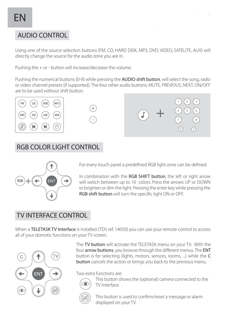## AUDIO CONTROL

Using one of the source selection buttons (FM, CD, HARD DISK, MP3, DVD, VIDEO, SATELITE, AUX) will directly change the source for the audio zone you are in.

Pushing the + or - button will increase/decrease the volume.

Pushing the numerical buttons (0-9) while pressing the **AUDIO shift button**, will select the song, radio or video channel presets (if supported). The four other audio buttons: MUTE, PREVIOUS, NEXT, ON/OFF are to be used without shift button.







### RGB COLOR LIGHT CONTROL



For every touch panel a predefined RGB light zone can be defined.

In combination with the RGB SHIFT button, the left or right arrow will switch between up to 10 colors. Press the arrows UP or DOWN to brighten or dim the light. Pressing the enter key while pressing the RGB shift button will turn the specific light ON or OFF.

#### TV INTERFACE CONTROL

When a TELETASK TV Interface is installed (TDS ref. 14050) you can use your remote control to access all of your domotic functions on your TV screen.



The TV button will activate the TELETASK menu on your TV. With the four arrow buttons, you browse through the different menus. The ENT button is for selecting (lights, motors, sensors, rooms, ...) while the C button cancels the action or brings you back to the previous menu.

Two extra functions are:



 This button shows the (optional) camera connected to the TV Interface.



This button is used to confirm/reset a message or alarm displayed on your TV.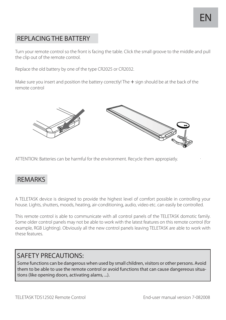## REPLACING THE BATTERY

Turn your remote control so the front is facing the table. Click the small groove to the middle and pull the clip out of the remote control.

Replace the old battery by one of the type CR2025 or CR2032.

Make sure you insert and position the battery correctly! The  $+$  sign should be at the back of the remote control



ATTENTION: Batteries can be harmful for the environment. Recycle them appropiatly.

#### REMARKS

A TELETASK device is designed to provide the highest level of comfort possible in controlling your house. Lights, shutters, moods, heating, air-conditioning, audio, video etc. can easily be controlled.

This remote control is able to communicate with all control panels of the TELETASK domotic family. Some older control panels may not be able to work with the latest features on this remote control (for example, RGB Lighting). Obviously all the new control panels leaving TELETASK are able to work with these features.

#### SAFETY PRECAUTIONS:

Some functions can be dangerous when used by small children, visitors or other persons. Avoid them to be able to use the remote control or avoid functions that can cause dangereous situations (like opening doors, activating alams, ...).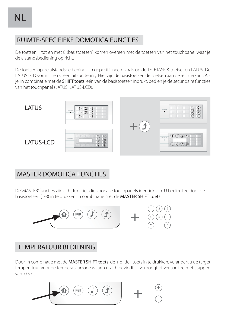## RUIMTE-SPECIFIEKE DOMOTICA FUNCTIES

De toetsen 1 tot en met 8 (basistoetsen) komen overeen met de toetsen van het touchpanel waar je de afstandsbediening op richt.

De toetsen op de afstandsbediening zijn gepositioneerd zoals op de TELETASK 8-toetser en LATUS. De LATUS LCD vormt hierop een uitzondering. Hier zijn de basistoetsen de toetsen aan de rechterkant. Als je, in combinatie met de SHIFT toets, één van de basistoetsen indrukt, bedien je de secundaire functies van het touchpanel (LATUS, LATUS-LCD).



#### MASTER DOMOTICA FUNCTIES

De 'MASTER' functies zijn acht functies die voor alle touchpanels identiek zijn. U bedient ze door de basistoetsen (1-8) in te drukken, in combinatie met de MASTER SHIFT toets.



#### TEMPERATUUR BEDIENING

Door, in combinatie met de MASTER SHIFT toets, de + of de - toets in te drukken, verandert u de target temperatuur voor de temperatuurzone waarin u zich bevindt. U verhoogt of verlaagt ze met stappen van 0,5°C.

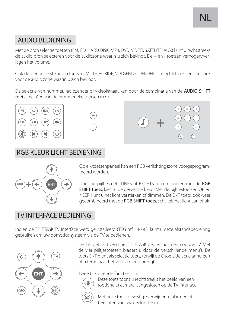## AUDIO BEDIENING

Met de bron selectie toetsen (FM, CD, HARD DISK, MP3, DVD, VIDEO, SATELITE, AUX) kunt u rechtstreeks de audio bron selecteren voor de audiozone waarin u zich bevindt. De + en - toetsen verhogen/verlagen het volume.

Ook de vier onderste audio toetsen: MUTE, VORIGE, VOLGENDE, ON/OFF zijn rechtstreeks en specifiek voor de audio zone waarin u zich bevindt.

De selectie van nummer, radiozender of videokanaal, kan door de combinatie van de AUDIO SHIFT toets, met één van de nummerieke toetsen (0-9).







### RGB KLEUR LICHT BEDIENING



Op elk toetsenpaneel kan een RGB verlichtingszone voorgeprogrammeerd worden.

Door de pijltjestoets LINKS of RECHTS te combineren met de RGB SHIFT toets, kiest u de gewenste kleur. Met de pijltjestoetsen OP en NEER, kunt u het licht versterken of dimmen. De ENT toets, ook weer gecombineerd met de RGB SHIFT toets, schakelt het licht aan of uit.

## TV INTERFACE BEDIENING

Indien de TELETASK TV Interface werd geïnstalleerd (TDS ref. 14050), kunt u deze afstandsbediening gebruiken om uw domotica systeem via de TV te bedienen.



De TV toets activeert het TELETASK bedieningsmenu op uw TV. Met de vier pijltjestoetsen bladert u door de verschillende menu's. De toets ENT dient als selectie toets, terwijl de C toets de actie annuleert of u terug naar het vorige menu brengt.

Twee bijkomende functies zijn:



 Deze toets toont u rechtstreeks het beeld van een (optionele) camera, aangesloten op de TV Interface.



 Met deze toets bevestigt/verwijdert u alarmen of berichten van uw beeldscherm.